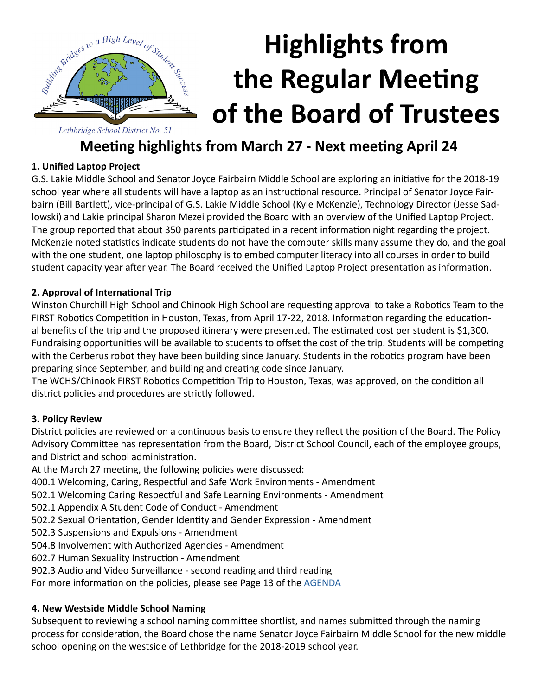

# **Highlights from the Regular Meeting of the Board of Trustees**

### **Meeting highlights from March 27 - Next meeting April 24**

#### **1. Unified Laptop Project**

G.S. Lakie Middle School and Senator Joyce Fairbairn Middle School are exploring an initiative for the 2018-19 school year where all students will have a laptop as an instructional resource. Principal of Senator Joyce Fairbairn (Bill Bartlett), vice-principal of G.S. Lakie Middle School (Kyle McKenzie), Technology Director (Jesse Sadlowski) and Lakie principal Sharon Mezei provided the Board with an overview of the Unified Laptop Project. The group reported that about 350 parents participated in a recent information night regarding the project. McKenzie noted statistics indicate students do not have the computer skills many assume they do, and the goal with the one student, one laptop philosophy is to embed computer literacy into all courses in order to build student capacity year after year. The Board received the Unified Laptop Project presentation as information.

#### **2. Approval of International Trip**

Winston Churchill High School and Chinook High School are requesting approval to take a Robotics Team to the FIRST Robotics Competition in Houston, Texas, from April 17-22, 2018. Information regarding the educational benefits of the trip and the proposed itinerary were presented. The estimated cost per student is \$1,300. Fundraising opportunities will be available to students to offset the cost of the trip. Students will be competing with the Cerberus robot they have been building since January. Students in the robotics program have been preparing since September, and building and creating code since January.

The WCHS/Chinook FIRST Robotics Competition Trip to Houston, Texas, was approved, on the condition all district policies and procedures are strictly followed.

#### **3. Policy Review**

District policies are reviewed on a continuous basis to ensure they reflect the position of the Board. The Policy Advisory Committee has representation from the Board, District School Council, each of the employee groups, and District and school administration.

At the March 27 meeting, the following policies were discussed:

400.1 Welcoming, Caring, Respectful and Safe Work Environments - Amendment

- 502.1 Welcoming Caring Respectful and Safe Learning Environments Amendment
- 502.1 Appendix A Student Code of Conduct Amendment
- 502.2 Sexual Orientation, Gender Identity and Gender Expression Amendment
- 502.3 Suspensions and Expulsions Amendment
- 504.8 Involvement with Authorized Agencies Amendment
- 602.7 Human Sexuality Instruction Amendment
- 902.3 Audio and Video Surveillance second reading and third reading

For more information on the policies, please see Page 13 of the [AGENDA](http://www.lethsd.ab.ca/documents/general/2018-03-27%20Board%20Meeting%20Agenda.pdf)

#### **4. New Westside Middle School Naming**

Subsequent to reviewing a school naming committee shortlist, and names submitted through the naming process for consideration, the Board chose the name Senator Joyce Fairbairn Middle School for the new middle school opening on the westside of Lethbridge for the 2018-2019 school year.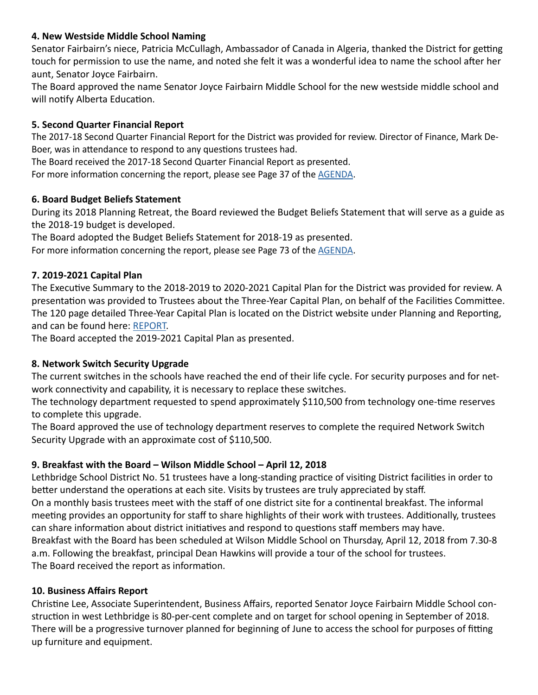#### **4. New Westside Middle School Naming**

Senator Fairbairn's niece, Patricia McCullagh, Ambassador of Canada in Algeria, thanked the District for getting touch for permission to use the name, and noted she felt it was a wonderful idea to name the school after her aunt, Senator Joyce Fairbairn.

The Board approved the name Senator Joyce Fairbairn Middle School for the new westside middle school and will notify Alberta Education.

#### **5. Second Quarter Financial Report**

The 2017-18 Second Quarter Financial Report for the District was provided for review. Director of Finance, Mark De-Boer, was in attendance to respond to any questions trustees had.

The Board received the 2017-18 Second Quarter Financial Report as presented.

For more information concerning the report, please see Page 37 of the [AGENDA](http://www.lethsd.ab.ca/documents/general/2018-03-27%20Board%20Meeting%20Agenda.pdf).

#### **6. Board Budget Beliefs Statement**

During its 2018 Planning Retreat, the Board reviewed the Budget Beliefs Statement that will serve as a guide as the 2018-19 budget is developed.

The Board adopted the Budget Beliefs Statement for 2018-19 as presented.

For more information concerning the report, please see Page 73 of the **AGENDA**.

#### **7. 2019-2021 Capital Plan**

The Executive Summary to the 2018-2019 to 2020-2021 Capital Plan for the District was provided for review. A presentation was provided to Trustees about the Three-Year Capital Plan, on behalf of the Facilities Committee. The 120 page detailed Three-Year Capital Plan is located on the District website under Planning and Reporting, and can be found here: [REPORT](http://www.lethsd.ab.ca/District%20Capital%20Plan.php).

The Board accepted the 2019-2021 Capital Plan as presented.

#### **8. Network Switch Security Upgrade**

The current switches in the schools have reached the end of their life cycle. For security purposes and for network connectivity and capability, it is necessary to replace these switches.

The technology department requested to spend approximately \$110,500 from technology one-time reserves to complete this upgrade.

The Board approved the use of technology department reserves to complete the required Network Switch Security Upgrade with an approximate cost of \$110,500.

#### **9. Breakfast with the Board – Wilson Middle School – April 12, 2018**

Lethbridge School District No. 51 trustees have a long-standing practice of visiting District facilities in order to better understand the operations at each site. Visits by trustees are truly appreciated by staff. On a monthly basis trustees meet with the staff of one district site for a continental breakfast. The informal meeting provides an opportunity for staff to share highlights of their work with trustees. Additionally, trustees can share information about district initiatives and respond to questions staff members may have. Breakfast with the Board has been scheduled at Wilson Middle School on Thursday, April 12, 2018 from 7.30-8 a.m. Following the breakfast, principal Dean Hawkins will provide a tour of the school for trustees. The Board received the report as information.

#### **10. Business Affairs Report**

Christine Lee, Associate Superintendent, Business Affairs, reported Senator Joyce Fairbairn Middle School construction in west Lethbridge is 80-per-cent complete and on target for school opening in September of 2018. There will be a progressive turnover planned for beginning of June to access the school for purposes of fitting up furniture and equipment.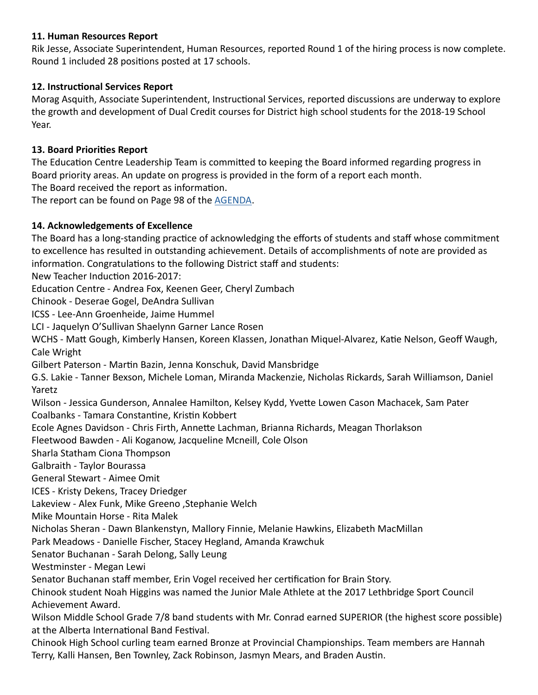#### **11. Human Resources Report**

Rik Jesse, Associate Superintendent, Human Resources, reported Round 1 of the hiring process is now complete. Round 1 included 28 positions posted at 17 schools.

#### **12. Instructional Services Report**

Morag Asquith, Associate Superintendent, Instructional Services, reported discussions are underway to explore the growth and development of Dual Credit courses for District high school students for the 2018-19 School Year.

#### **13. Board Priorities Report**

The Education Centre Leadership Team is committed to keeping the Board informed regarding progress in Board priority areas. An update on progress is provided in the form of a report each month.

The Board received the report as information.

The report can be found on Page 98 of the [AGENDA](http://www.lethsd.ab.ca/documents/general/2018-03-27%20Board%20Meeting%20Agenda.pdf).

#### **14. Acknowledgements of Excellence**

The Board has a long-standing practice of acknowledging the efforts of students and staff whose commitment to excellence has resulted in outstanding achievement. Details of accomplishments of note are provided as information. Congratulations to the following District staff and students:

New Teacher Induction 2016-2017:

Education Centre - Andrea Fox, Keenen Geer, Cheryl Zumbach

Chinook - Deserae Gogel, DeAndra Sullivan

ICSS - Lee-Ann Groenheide, Jaime Hummel

LCI - Jaquelyn O'Sullivan Shaelynn Garner Lance Rosen

WCHS - Matt Gough, Kimberly Hansen, Koreen Klassen, Jonathan Miquel-Alvarez, Katie Nelson, Geoff Waugh, Cale Wright

Gilbert Paterson - Martin Bazin, Jenna Konschuk, David Mansbridge

G.S. Lakie - Tanner Bexson, Michele Loman, Miranda Mackenzie, Nicholas Rickards, Sarah Williamson, Daniel Yaretz

Wilson - Jessica Gunderson, Annalee Hamilton, Kelsey Kydd, Yvette Lowen Cason Machacek, Sam Pater Coalbanks - Tamara Constantine, Kristin Kobbert

Ecole Agnes Davidson - Chris Firth, Annette Lachman, Brianna Richards, Meagan Thorlakson

Fleetwood Bawden - Ali Koganow, Jacqueline Mcneill, Cole Olson

Sharla Statham Ciona Thompson

Galbraith - Taylor Bourassa

General Stewart - Aimee Omit

ICES - Kristy Dekens, Tracey Driedger

Lakeview - Alex Funk, Mike Greeno ,Stephanie Welch

Mike Mountain Horse - Rita Malek

Nicholas Sheran - Dawn Blankenstyn, Mallory Finnie, Melanie Hawkins, Elizabeth MacMillan

Park Meadows - Danielle Fischer, Stacey Hegland, Amanda Krawchuk

Senator Buchanan - Sarah Delong, Sally Leung

Westminster - Megan Lewi

Senator Buchanan staff member, Erin Vogel received her certification for Brain Story.

Chinook student Noah Higgins was named the Junior Male Athlete at the 2017 Lethbridge Sport Council Achievement Award.

Wilson Middle School Grade 7/8 band students with Mr. Conrad earned SUPERIOR (the highest score possible) at the Alberta International Band Festival.

Chinook High School curling team earned Bronze at Provincial Championships. Team members are Hannah Terry, Kalli Hansen, Ben Townley, Zack Robinson, Jasmyn Mears, and Braden Austin.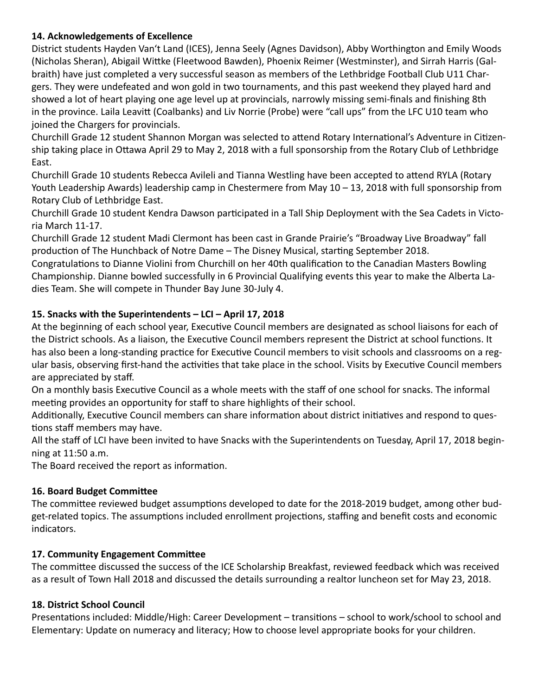#### **14. Acknowledgements of Excellence**

District students Hayden Van't Land (ICES), Jenna Seely (Agnes Davidson), Abby Worthington and Emily Woods (Nicholas Sheran), Abigail Wittke (Fleetwood Bawden), Phoenix Reimer (Westminster), and Sirrah Harris (Galbraith) have just completed a very successful season as members of the Lethbridge Football Club U11 Chargers. They were undefeated and won gold in two tournaments, and this past weekend they played hard and showed a lot of heart playing one age level up at provincials, narrowly missing semi-finals and finishing 8th in the province. Laila Leavitt (Coalbanks) and Liv Norrie (Probe) were "call ups" from the LFC U10 team who joined the Chargers for provincials.

Churchill Grade 12 student Shannon Morgan was selected to attend Rotary International's Adventure in Citizenship taking place in Ottawa April 29 to May 2, 2018 with a full sponsorship from the Rotary Club of Lethbridge East.

Churchill Grade 10 students Rebecca Avileli and Tianna Westling have been accepted to attend RYLA (Rotary Youth Leadership Awards) leadership camp in Chestermere from May 10 – 13, 2018 with full sponsorship from Rotary Club of Lethbridge East.

Churchill Grade 10 student Kendra Dawson participated in a Tall Ship Deployment with the Sea Cadets in Victoria March 11-17.

Churchill Grade 12 student Madi Clermont has been cast in Grande Prairie's "Broadway Live Broadway" fall production of The Hunchback of Notre Dame – The Disney Musical, starting September 2018.

Congratulations to Dianne Violini from Churchill on her 40th qualification to the Canadian Masters Bowling Championship. Dianne bowled successfully in 6 Provincial Qualifying events this year to make the Alberta Ladies Team. She will compete in Thunder Bay June 30-July 4.

#### **15. Snacks with the Superintendents – LCI – April 17, 2018**

At the beginning of each school year, Executive Council members are designated as school liaisons for each of the District schools. As a liaison, the Executive Council members represent the District at school functions. It has also been a long-standing practice for Executive Council members to visit schools and classrooms on a regular basis, observing first-hand the activities that take place in the school. Visits by Executive Council members are appreciated by staff.

On a monthly basis Executive Council as a whole meets with the staff of one school for snacks. The informal meeting provides an opportunity for staff to share highlights of their school.

Additionally, Executive Council members can share information about district initiatives and respond to questions staff members may have.

All the staff of LCI have been invited to have Snacks with the Superintendents on Tuesday, April 17, 2018 beginning at 11:50 a.m.

The Board received the report as information.

#### **16. Board Budget Committee**

The committee reviewed budget assumptions developed to date for the 2018-2019 budget, among other budget-related topics. The assumptions included enrollment projections, staffing and benefit costs and economic indicators.

#### **17. Community Engagement Committee**

The committee discussed the success of the ICE Scholarship Breakfast, reviewed feedback which was received as a result of Town Hall 2018 and discussed the details surrounding a realtor luncheon set for May 23, 2018.

#### **18. District School Council**

Presentations included: Middle/High: Career Development – transitions – school to work/school to school and Elementary: Update on numeracy and literacy; How to choose level appropriate books for your children.